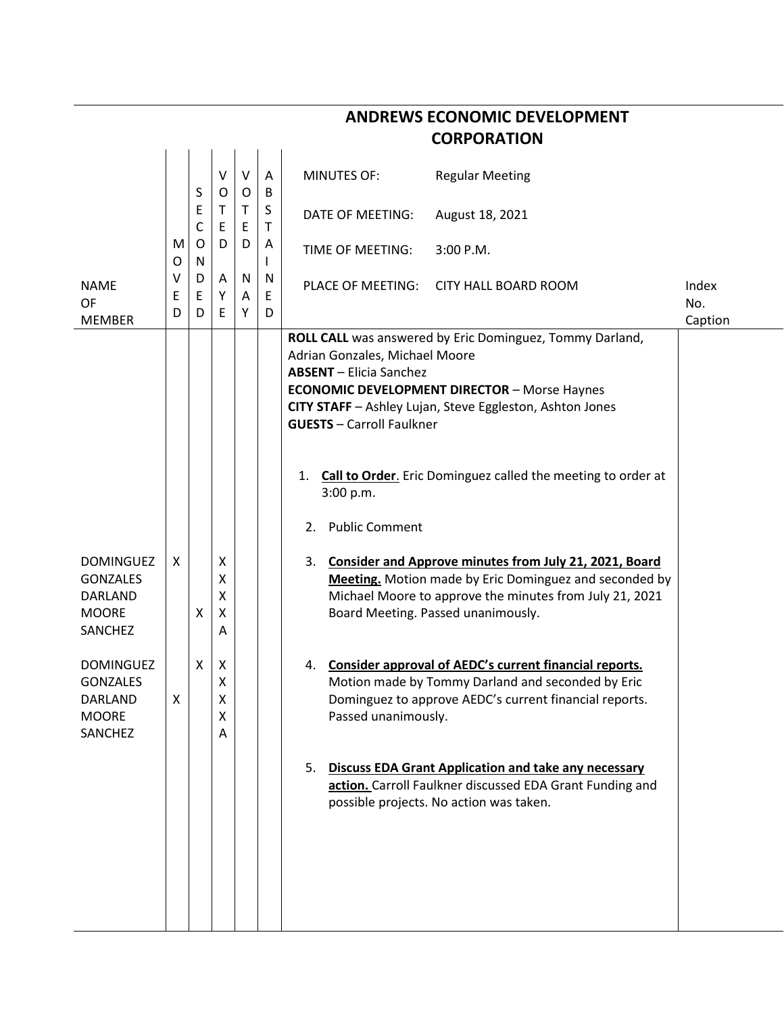| <b>CORPORATION</b>                                                        |        |                  |                       |             |                   |                                                                                                                                                                                                                         |                                                                                                                                                                                    |              |  |  |
|---------------------------------------------------------------------------|--------|------------------|-----------------------|-------------|-------------------|-------------------------------------------------------------------------------------------------------------------------------------------------------------------------------------------------------------------------|------------------------------------------------------------------------------------------------------------------------------------------------------------------------------------|--------------|--|--|
|                                                                           |        | S                | $\vee$<br>$\circ$     | $\vee$<br>O | A<br>B            | <b>MINUTES OF:</b>                                                                                                                                                                                                      | <b>Regular Meeting</b>                                                                                                                                                             |              |  |  |
|                                                                           | M<br>O | Ε<br>C<br>O<br>N | Τ<br>Ε<br>D           | Τ<br>Ε<br>D | S<br>$\mathsf T$  | DATE OF MEETING:                                                                                                                                                                                                        | August 18, 2021                                                                                                                                                                    |              |  |  |
|                                                                           |        |                  |                       |             | A<br>$\mathbf{I}$ | TIME OF MEETING:                                                                                                                                                                                                        | 3:00 P.M.                                                                                                                                                                          |              |  |  |
| <b>NAME</b><br><b>OF</b>                                                  | ٧<br>Ε | D<br>E           | A<br>Υ                | N<br>Α      | N<br>Ε            | PLACE OF MEETING:                                                                                                                                                                                                       | <b>CITY HALL BOARD ROOM</b>                                                                                                                                                        | Index<br>No. |  |  |
| <b>MEMBER</b>                                                             | D      | D                | E                     | Y           | D                 |                                                                                                                                                                                                                         |                                                                                                                                                                                    | Caption      |  |  |
|                                                                           |        |                  |                       |             |                   | Adrian Gonzales, Michael Moore<br><b>ABSENT</b> - Elicia Sanchez<br><b>ECONOMIC DEVELOPMENT DIRECTOR - Morse Haynes</b><br>CITY STAFF - Ashley Lujan, Steve Eggleston, Ashton Jones<br><b>GUESTS</b> - Carroll Faulkner | ROLL CALL was answered by Eric Dominguez, Tommy Darland,                                                                                                                           |              |  |  |
|                                                                           |        |                  |                       |             |                   | 1.<br>3:00 p.m.                                                                                                                                                                                                         | <b>Call to Order.</b> Eric Dominguez called the meeting to order at                                                                                                                |              |  |  |
|                                                                           |        |                  |                       |             |                   | <b>Public Comment</b><br>2.                                                                                                                                                                                             |                                                                                                                                                                                    |              |  |  |
| <b>DOMINGUEZ</b><br><b>GONZALES</b><br>DARLAND<br><b>MOORE</b><br>SANCHEZ | X      | X                | X<br>Χ<br>X<br>X<br>Α |             |                   | 3.<br>Board Meeting. Passed unanimously.                                                                                                                                                                                | <b>Consider and Approve minutes from July 21, 2021, Board</b><br>Meeting. Motion made by Eric Dominguez and seconded by<br>Michael Moore to approve the minutes from July 21, 2021 |              |  |  |
| <b>DOMINGUEZ</b><br><b>GONZALES</b><br>DARLAND<br><b>MOORE</b><br>SANCHEZ | Х      | X                | X<br>Χ<br>Χ<br>X<br>A |             |                   | 4.<br>Passed unanimously.                                                                                                                                                                                               | Consider approval of AEDC's current financial reports.<br>Motion made by Tommy Darland and seconded by Eric<br>Dominguez to approve AEDC's current financial reports.              |              |  |  |
|                                                                           |        |                  |                       |             |                   | 5.<br>possible projects. No action was taken.                                                                                                                                                                           | <b>Discuss EDA Grant Application and take any necessary</b><br>action. Carroll Faulkner discussed EDA Grant Funding and                                                            |              |  |  |
|                                                                           |        |                  |                       |             |                   |                                                                                                                                                                                                                         |                                                                                                                                                                                    |              |  |  |

## **ANDREWS ECONOMIC DEVELOPMENT**